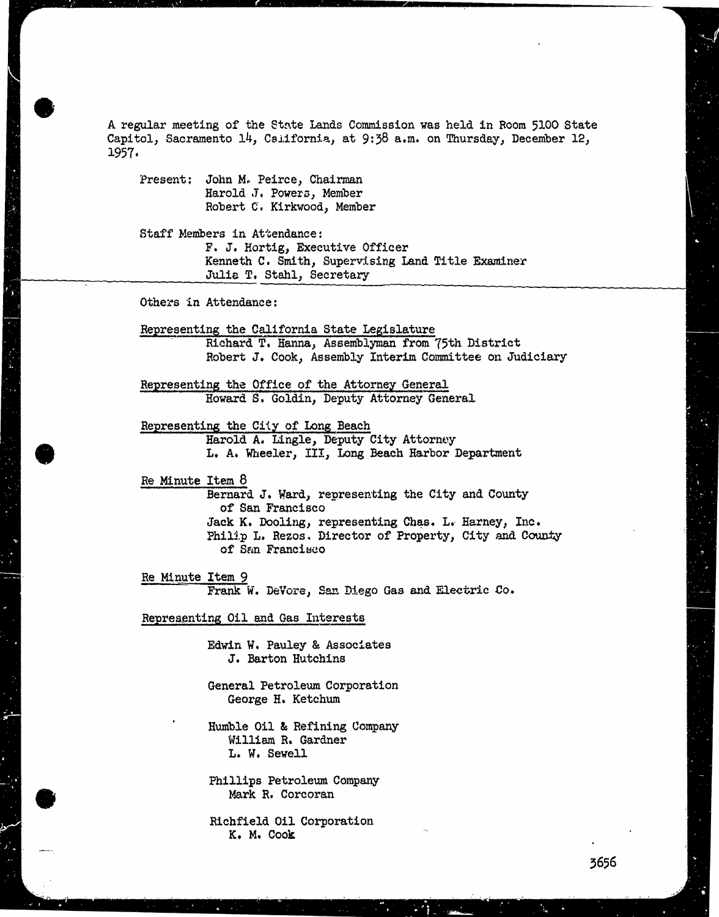A regular meeting of the State Lands Commission was held in Room 5100 State Capitol, Sacramento 14, California, at 9:38 a.m. on Thursday, December 12, 1957

Present: John M. Peirce, Chairman Harold J. Powers, Member Robert C. Kirkwood, Member

Staff Members in Attendance: F. J. Hortig, Executive Officer Kenneth C. Smith, Supervising Land Title Examiner Julie T. Stahl, Secretary

Others in Attendance:

Representing the California State Legislature Richard T. Hanna, Assemblyman from 75th District Robert J. Cook, Assembly Interim Committee on Judiciary

Representing the Office of the Attorney General Howard S. Goldin, Deputy Attorney General

Representing the City of Long Beach Harold A. Lingle, Deputy City Attorney L. A. Wheeler, III, Long Beach Harbor Department

Re Minute Item 8 Bernard J. Ward, representing the City and County of San Francisco Jack K. Dooling, representing Chas. L. Harney, Inc. Philip L. Rezos. Director of Property, City and County of San Francisco

Re Minute Item 9 Frank W. Devore, San Diego Gas and Electric Co.

Representing Oil and Gas Interests

Edwin W. Pauley & Associates J. Barton Hutchins

General Petroleum Corporation George H. Ketchum

Humble Oil & Refining Company William R. Gardner L. W. Sewell

Phillips Petroleum Company Mark R. Corcoran

Richfield Oil Corporation K. M. Cook